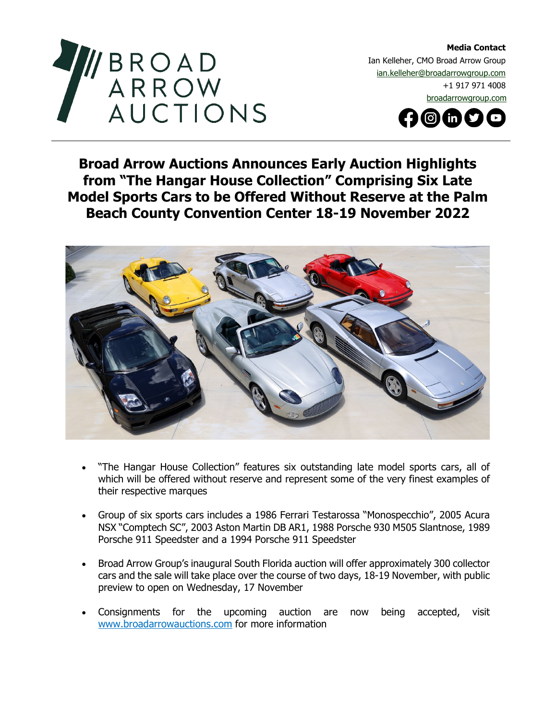

**Media Contact**  Ian Kelleher, CMO Broad Arrow Group ian.kelleher@broadarrowgroup.com +1 917 971 4008 [broadarrowgroup.com](http://www.broadarrowgroup.com/)



## **Broad Arrow Auctions Announces Early Auction Highlights from "The Hangar House Collection" Comprising Six Late Model Sports Cars to be Offered Without Reserve at the Palm Beach County Convention Center 18-19 November 2022**



- "The Hangar House Collection" features six outstanding late model sports cars, all of which will be offered without reserve and represent some of the very finest examples of their respective marques
- Group of six sports cars includes a 1986 Ferrari Testarossa "Monospecchio", 2005 Acura NSX "Comptech SC", 2003 Aston Martin DB AR1, 1988 Porsche 930 M505 Slantnose, 1989 Porsche 911 Speedster and a 1994 Porsche 911 Speedster
- Broad Arrow Group's inaugural South Florida auction will offer approximately 300 collector cars and the sale will take place over the course of two days, 18-19 November, with public preview to open on Wednesday, 17 November
- Consignments for the upcoming auction are now being accepted, visit [www.broadarrowauctions.com](http://www.broadarrowauctions.com/) for more information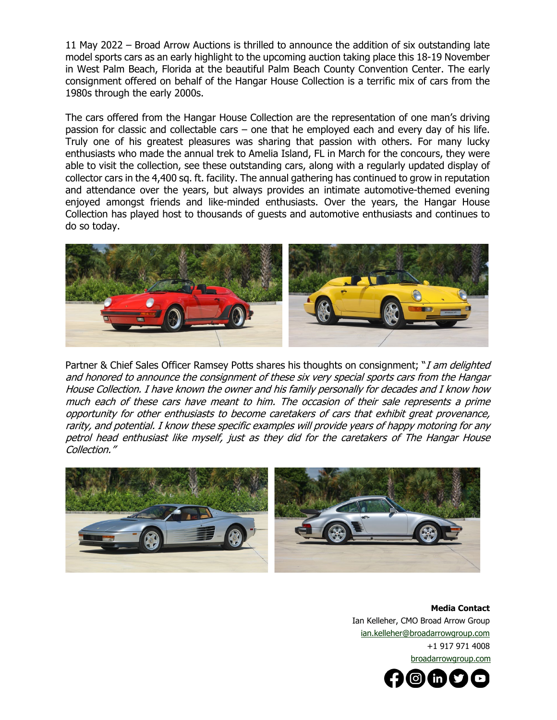11 May 2022 – Broad Arrow Auctions is thrilled to announce the addition of six outstanding late model sports cars as an early highlight to the upcoming auction taking place this 18-19 November in West Palm Beach, Florida at the beautiful Palm Beach County Convention Center. The early consignment offered on behalf of the Hangar House Collection is a terrific mix of cars from the 1980s through the early 2000s.

The cars offered from the Hangar House Collection are the representation of one man's driving passion for classic and collectable cars – one that he employed each and every day of his life. Truly one of his greatest pleasures was sharing that passion with others. For many lucky enthusiasts who made the annual trek to Amelia Island, FL in March for the concours, they were able to visit the collection, see these outstanding cars, along with a regularly updated display of collector cars in the 4,400 sq. ft. facility. The annual gathering has continued to grow in reputation and attendance over the years, but always provides an intimate automotive-themed evening enjoyed amongst friends and like-minded enthusiasts. Over the years, the Hangar House Collection has played host to thousands of guests and automotive enthusiasts and continues to do so today.



Partner & Chief Sales Officer Ramsey Potts shares his thoughts on consignment; "*I am delighted* and honored to announce the consignment of these six very special sports cars from the Hangar House Collection. I have known the owner and his family personally for decades and I know how much each of these cars have meant to him. The occasion of their sale represents a prime opportunity for other enthusiasts to become caretakers of cars that exhibit great provenance, rarity, and potential. I know these specific examples will provide years of happy motoring for any petrol head enthusiast like myself, just as they did for the caretakers of The Hangar House Collection."



**Media Contact**  Ian Kelleher, CMO Broad Arrow Group ian.kelleher@broadarrowgroup.com +1 917 971 4008 [broadarrowgroup.com](http://www.broadarrowgroup.com/)

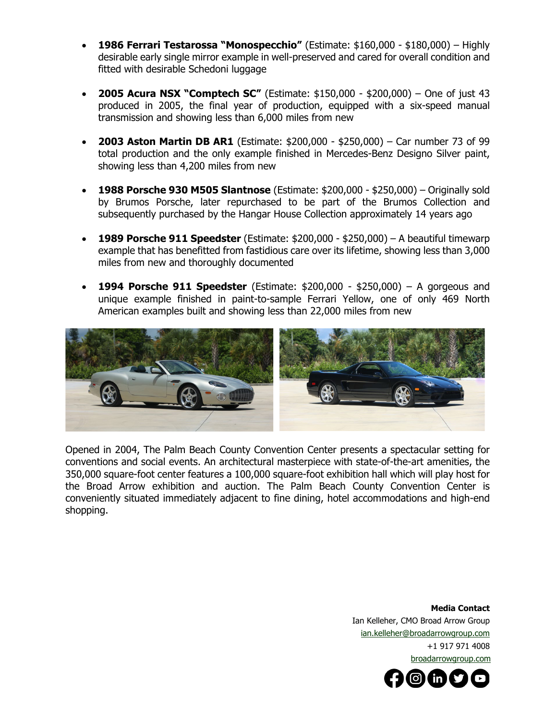- **1986 Ferrari Testarossa "Monospecchio"** (Estimate: \$160,000 \$180,000) Highly desirable early single mirror example in well-preserved and cared for overall condition and fitted with desirable Schedoni luggage
- **2005 Acura NSX "Comptech SC"** (Estimate: \$150,000 \$200,000) One of just 43 produced in 2005, the final year of production, equipped with a six-speed manual transmission and showing less than 6,000 miles from new
- **2003 Aston Martin DB AR1** (Estimate: \$200,000 \$250,000) Car number 73 of 99 total production and the only example finished in Mercedes-Benz Designo Silver paint, showing less than 4,200 miles from new
- **1988 Porsche 930 M505 Slantnose** (Estimate: \$200,000 \$250,000) Originally sold by Brumos Porsche, later repurchased to be part of the Brumos Collection and subsequently purchased by the Hangar House Collection approximately 14 years ago
- **1989 Porsche 911 Speedster** (Estimate: \$200,000 \$250,000) A beautiful timewarp example that has benefitted from fastidious care over its lifetime, showing less than 3,000 miles from new and thoroughly documented
- **1994 Porsche 911 Speedster** (Estimate: \$200,000 \$250,000) A gorgeous and unique example finished in paint-to-sample Ferrari Yellow, one of only 469 North American examples built and showing less than 22,000 miles from new



Opened in 2004, The Palm Beach County Convention Center presents a spectacular setting for conventions and social events. An architectural masterpiece with state-of-the-art amenities, the 350,000 square-foot center features a 100,000 square-foot exhibition hall which will play host for the Broad Arrow exhibition and auction. The Palm Beach County Convention Center is conveniently situated immediately adjacent to fine dining, hotel accommodations and high-end shopping.

> **Media Contact**  Ian Kelleher, CMO Broad Arrow Group [ian.kelleher@broadarrowgroup.com](mailto:ian.kelleher@broadarrowgroup.com)  +1 917 971 4008 [broadarrowgroup.com](http://www.broadarrowgroup.com/)